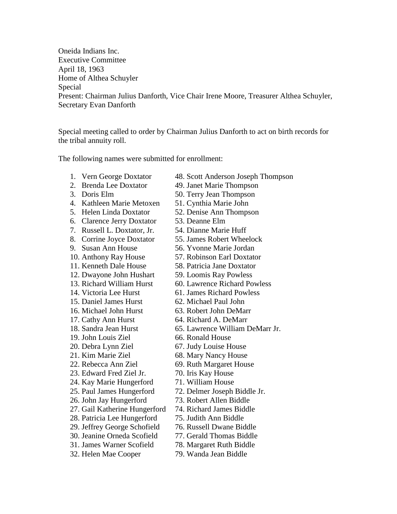Oneida Indians Inc. Executive Committee April 18, 1963 Home of Althea Schuyler Special Present: Chairman Julius Danforth, Vice Chair Irene Moore, Treasurer Althea Schuyler, Secretary Evan Danforth

Special meeting called to order by Chairman Julius Danforth to act on birth records for the tribal annuity roll.

The following names were submitted for enrollment:

- 
- 
- 
- 
- 
- 6. Clarence Jerry Doxtator 53. Deanne Elm
- 
- 
- 
- 
- 11. Kenneth Dale House 58. Patricia Jane Doxtator
- 12. Dwayone John Hushart 59. Loomis Ray Powless
- 
- 
- 
- 16. Michael John Hurst 63. Robert John DeMarr
- 17. Cathy Ann Hurst 64. Richard A. DeMarr
- 
- 19. John Louis Ziel 66. Ronald House
- 20. Debra Lynn Ziel 67. Judy Louise House
- 21. Kim Marie Ziel 68. Mary Nancy House
- 22. Rebecca Ann Ziel 69. Ruth Margaret House
- 23. Edward Fred Ziel Jr. 70. Iris Kay House
- 24. Kay Marie Hungerford 71. William House
- 
- 26. John Jay Hungerford 73. Robert Allen Biddle
- 27. Gail Katherine Hungerford 74. Richard James Biddle
- 28. Patricia Lee Hungerford 75. Judith Ann Biddle
- 
- 
- 
- 
- 1. Vern George Doxtator 48. Scott Anderson Joseph Thompson
- 2. Brenda Lee Doxtator 49. Janet Marie Thompson
- 3. Doris Elm 50. Terry Jean Thompson
- 4. Kathleen Marie Metoxen 51. Cynthia Marie John
- 5. Helen Linda Doxtator 52. Denise Ann Thompson
	-
- 7. Russell L. Doxtator, Jr. 54. Dianne Marie Huff
- 8. Corrine Joyce Doxtator 55. James Robert Wheelock
- 9. Susan Ann House 56. Yvonne Marie Jordan
- 10. Anthony Ray House 57. Robinson Earl Doxtator
	-
	-
- 13. Richard William Hurst 60. Lawrence Richard Powless
- 14. Victoria Lee Hurst 61. James Richard Powless
- 15. Daniel James Hurst 62. Michael Paul John
	-
	-
- 18. Sandra Jean Hurst 65. Lawrence William DeMarr Jr.
	-
	-
	-
	-
	-
	-
	-
- 25. Paul James Hungerford 72. Delmer Joseph Biddle Jr.
	-
	-
	-
- 29. Jeffrey George Schofield 76. Russell Dwane Biddle
- 30. Jeanine Orneda Scofield 77. Gerald Thomas Biddle
- 31. James Warner Scofield 78. Margaret Ruth Biddle
- 32. Helen Mae Cooper 79. Wanda Jean Biddle